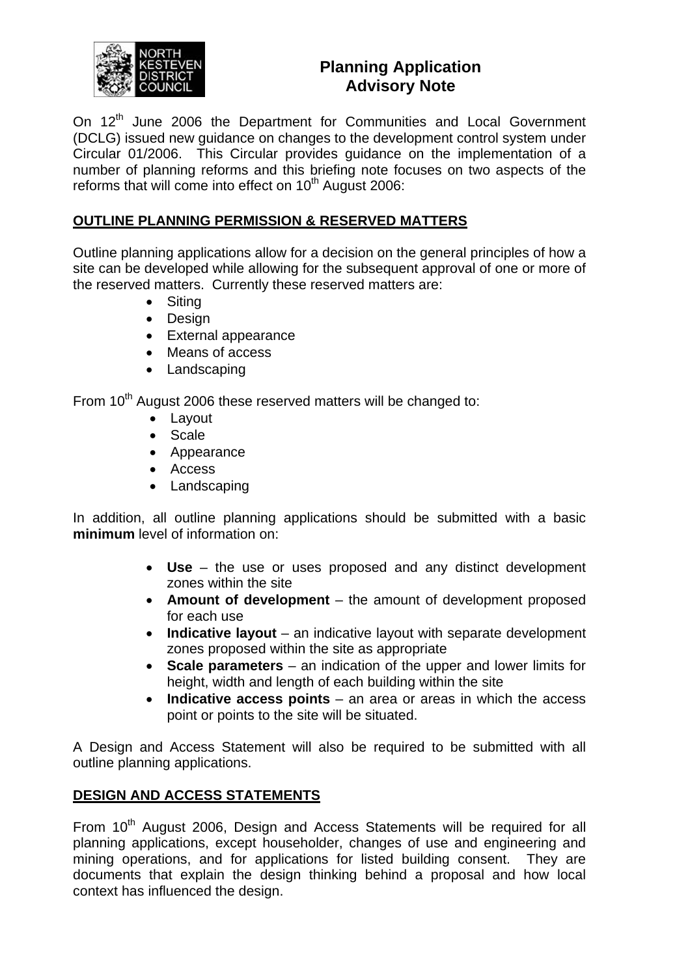

# **Planning Application Advisory Note**

On 12<sup>th</sup> June 2006 the Department for Communities and Local Government (DCLG) issued new guidance on changes to the development control system under Circular 01/2006. This Circular provides guidance on the implementation of a number of planning reforms and this briefing note focuses on two aspects of the reforms that will come into effect on 10<sup>th</sup> August 2006:

## **OUTLINE PLANNING PERMISSION & RESERVED MATTERS**

Outline planning applications allow for a decision on the general principles of how a site can be developed while allowing for the subsequent approval of one or more of the reserved matters. Currently these reserved matters are:

- Siting
- Design
- External appearance
- Means of access
- Landscaping

From 10<sup>th</sup> August 2006 these reserved matters will be changed to:

- Layout
- Scale
- Appearance
- Access
- Landscaping

In addition, all outline planning applications should be submitted with a basic **minimum** level of information on:

- **Use** the use or uses proposed and any distinct development zones within the site
- **Amount of development** the amount of development proposed for each use
- **Indicative layout** an indicative layout with separate development zones proposed within the site as appropriate
- **Scale parameters** an indication of the upper and lower limits for height, width and length of each building within the site
- **Indicative access points** an area or areas in which the access point or points to the site will be situated.

A Design and Access Statement will also be required to be submitted with all outline planning applications.

## **DESIGN AND ACCESS STATEMENTS**

From 10<sup>th</sup> August 2006, Design and Access Statements will be required for all planning applications, except householder, changes of use and engineering and mining operations, and for applications for listed building consent. They are documents that explain the design thinking behind a proposal and how local context has influenced the design.